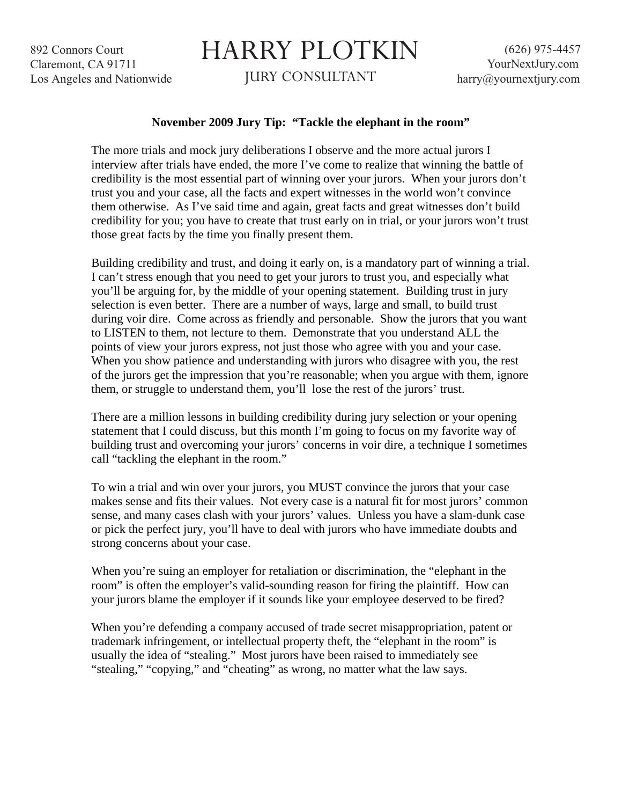892 Connors Court Claremont, CA 91711 Los Angeles and Nationwide

## HARRY PLOTKIN

JURY CONSULTANT

## **November 2009 Jury Tip: "Tackle the elephant in the room"**

The more trials and mock jury deliberations I observe and the more actual jurors I interview after trials have ended, the more I've come to realize that winning the battle of credibility is the most essential part of winning over your jurors. When your jurors don't trust you and your case, all the facts and expert witnesses in the world won't convince them otherwise. As I've said time and again, great facts and great witnesses don't build credibility for you; you have to create that trust early on in trial, or your jurors won't trust those great facts by the time you finally present them.

Building credibility and trust, and doing it early on, is a mandatory part of winning a trial. I can't stress enough that you need to get your jurors to trust you, and especially what you'll be arguing for, by the middle of your opening statement. Building trust in jury selection is even better. There are a number of ways, large and small, to build trust during voir dire. Come across as friendly and personable. Show the jurors that you want to LISTEN to them, not lecture to them. Demonstrate that you understand ALL the points of view your jurors express, not just those who agree with you and your case. When you show patience and understanding with jurors who disagree with you, the rest of the jurors get the impression that you're reasonable; when you argue with them, ignore them, or struggle to understand them, you'll lose the rest of the jurors' trust.

There are a million lessons in building credibility during jury selection or your opening statement that I could discuss, but this month I'm going to focus on my favorite way of building trust and overcoming your jurors' concerns in voir dire, a technique I sometimes call "tackling the elephant in the room."

To win a trial and win over your jurors, you MUST convince the jurors that your case makes sense and fits their values. Not every case is a natural fit for most jurors' common sense, and many cases clash with your jurors' values. Unless you have a slam-dunk case or pick the perfect jury, you'll have to deal with jurors who have immediate doubts and strong concerns about your case.

When you're suing an employer for retaliation or discrimination, the "elephant in the room" is often the employer's valid-sounding reason for firing the plaintiff. How can your jurors blame the employer if it sounds like your employee deserved to be fired?

When you're defending a company accused of trade secret misappropriation, patent or trademark infringement, or intellectual property theft, the "elephant in the room" is usually the idea of "stealing." Most jurors have been raised to immediately see "stealing," "copying," and "cheating" as wrong, no matter what the law says.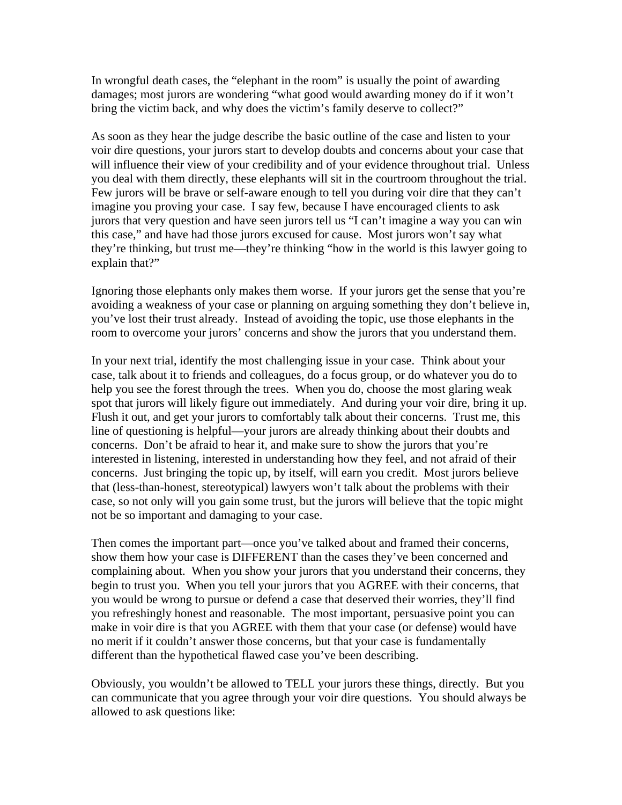In wrongful death cases, the "elephant in the room" is usually the point of awarding damages; most jurors are wondering "what good would awarding money do if it won't bring the victim back, and why does the victim's family deserve to collect?"

As soon as they hear the judge describe the basic outline of the case and listen to your voir dire questions, your jurors start to develop doubts and concerns about your case that will influence their view of your credibility and of your evidence throughout trial. Unless you deal with them directly, these elephants will sit in the courtroom throughout the trial. Few jurors will be brave or self-aware enough to tell you during voir dire that they can't imagine you proving your case. I say few, because I have encouraged clients to ask jurors that very question and have seen jurors tell us "I can't imagine a way you can win this case," and have had those jurors excused for cause. Most jurors won't say what they're thinking, but trust me—they're thinking "how in the world is this lawyer going to explain that?"

Ignoring those elephants only makes them worse. If your jurors get the sense that you're avoiding a weakness of your case or planning on arguing something they don't believe in, you've lost their trust already. Instead of avoiding the topic, use those elephants in the room to overcome your jurors' concerns and show the jurors that you understand them.

In your next trial, identify the most challenging issue in your case. Think about your case, talk about it to friends and colleagues, do a focus group, or do whatever you do to help you see the forest through the trees. When you do, choose the most glaring weak spot that jurors will likely figure out immediately. And during your voir dire, bring it up. Flush it out, and get your jurors to comfortably talk about their concerns. Trust me, this line of questioning is helpful—your jurors are already thinking about their doubts and concerns. Don't be afraid to hear it, and make sure to show the jurors that you're interested in listening, interested in understanding how they feel, and not afraid of their concerns. Just bringing the topic up, by itself, will earn you credit. Most jurors believe that (less-than-honest, stereotypical) lawyers won't talk about the problems with their case, so not only will you gain some trust, but the jurors will believe that the topic might not be so important and damaging to your case.

Then comes the important part—once you've talked about and framed their concerns, show them how your case is DIFFERENT than the cases they've been concerned and complaining about. When you show your jurors that you understand their concerns, they begin to trust you. When you tell your jurors that you AGREE with their concerns, that you would be wrong to pursue or defend a case that deserved their worries, they'll find you refreshingly honest and reasonable. The most important, persuasive point you can make in voir dire is that you AGREE with them that your case (or defense) would have no merit if it couldn't answer those concerns, but that your case is fundamentally different than the hypothetical flawed case you've been describing.

Obviously, you wouldn't be allowed to TELL your jurors these things, directly. But you can communicate that you agree through your voir dire questions. You should always be allowed to ask questions like: